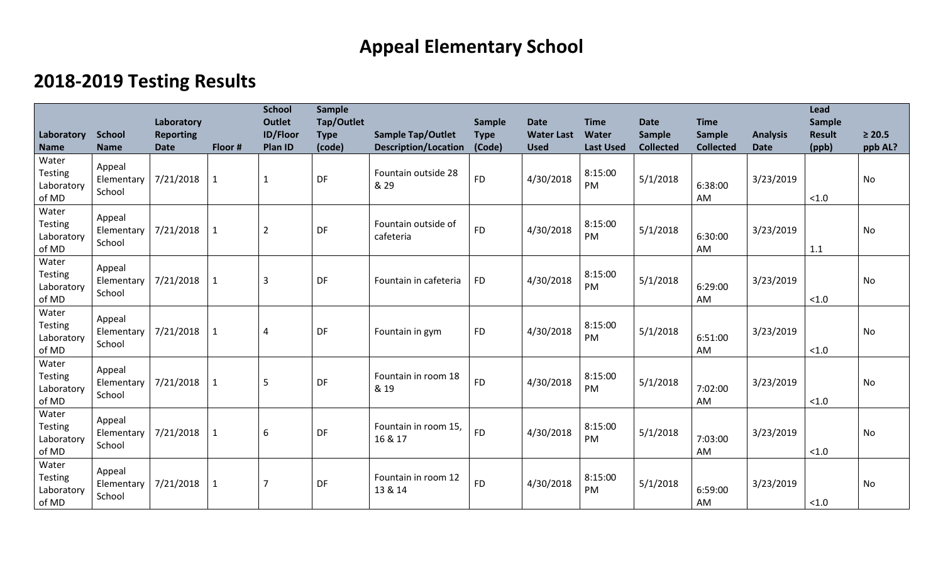## **Appeal Elementary School**

## **2018-2019 Testing Results**

| Laboratory                                     | <b>School</b>                  | Laboratory<br><b>Reporting</b> |              | <b>School</b><br><b>Outlet</b><br><b>ID/Floor</b> | <b>Sample</b><br>Tap/Outlet<br><b>Type</b> | <b>Sample Tap/Outlet</b>         | Sample<br><b>Type</b> | <b>Date</b><br><b>Water Last</b> | <b>Time</b><br>Water | <b>Date</b><br>Sample | <b>Time</b><br><b>Sample</b> | <b>Analysis</b> | Lead<br>Sample<br><b>Result</b> | $\geq 20.5$ |
|------------------------------------------------|--------------------------------|--------------------------------|--------------|---------------------------------------------------|--------------------------------------------|----------------------------------|-----------------------|----------------------------------|----------------------|-----------------------|------------------------------|-----------------|---------------------------------|-------------|
| <b>Name</b><br>Water                           | <b>Name</b><br>Appeal          | <b>Date</b>                    | Floor #      | Plan ID                                           | (code)                                     | <b>Description/Location</b>      | (Code)                | <b>Used</b>                      | <b>Last Used</b>     | <b>Collected</b>      | <b>Collected</b>             | <b>Date</b>     | (ppb)                           | ppb AL?     |
| <b>Testing</b><br>Laboratory<br>of MD          | Elementary<br>School           | 7/21/2018                      | $\mathbf{1}$ | $\mathbf{1}$                                      | DF                                         | Fountain outside 28<br>& 29      | <b>FD</b>             | 4/30/2018                        | 8:15:00<br>PM        | 5/1/2018              | 6:38:00<br>AM                | 3/23/2019       | < 1.0                           | No          |
| Water<br><b>Testing</b><br>Laboratory<br>of MD | Appeal<br>Elementary<br>School | 7/21/2018                      | $\mathbf 1$  | $\overline{2}$                                    | DF                                         | Fountain outside of<br>cafeteria | <b>FD</b>             | 4/30/2018                        | 8:15:00<br>PM        | 5/1/2018              | 6:30:00<br>AM                | 3/23/2019       | 1.1                             | <b>No</b>   |
| Water<br><b>Testing</b><br>Laboratory<br>of MD | Appeal<br>Elementary<br>School | 7/21/2018                      | $\mathbf{1}$ | $\overline{3}$                                    | DF                                         | Fountain in cafeteria            | <b>FD</b>             | 4/30/2018                        | 8:15:00<br>PM        | 5/1/2018              | 6:29:00<br>AM                | 3/23/2019       | < 1.0                           | No          |
| Water<br><b>Testing</b><br>Laboratory<br>of MD | Appeal<br>Elementary<br>School | 7/21/2018                      | $\mathbf{1}$ | 4                                                 | DF                                         | Fountain in gym                  | <b>FD</b>             | 4/30/2018                        | 8:15:00<br>PM        | 5/1/2018              | 6:51:00<br>AM                | 3/23/2019       | < 1.0                           | <b>No</b>   |
| Water<br><b>Testing</b><br>Laboratory<br>of MD | Appeal<br>Elementary<br>School | 7/21/2018                      | $\mathbf 1$  | 5                                                 | DF                                         | Fountain in room 18<br>& 19      | <b>FD</b>             | 4/30/2018                        | 8:15:00<br>PM        | 5/1/2018              | 7:02:00<br>AM                | 3/23/2019       | $<1.0$                          | <b>No</b>   |
| Water<br><b>Testing</b><br>Laboratory<br>of MD | Appeal<br>Elementary<br>School | 7/21/2018                      | $\mathbf{1}$ | 6                                                 | DF                                         | Fountain in room 15.<br>16 & 17  | <b>FD</b>             | 4/30/2018                        | 8:15:00<br>PM        | 5/1/2018              | 7:03:00<br>AM                | 3/23/2019       | < 1.0                           | No          |
| Water<br><b>Testing</b><br>Laboratory<br>of MD | Appeal<br>Elementary<br>School | 7/21/2018                      | 1            | $\overline{7}$                                    | DF                                         | Fountain in room 12<br>13 & 14   | <b>FD</b>             | 4/30/2018                        | 8:15:00<br>PM        | 5/1/2018              | 6:59:00<br>AM                | 3/23/2019       | $<1.0$                          | <b>No</b>   |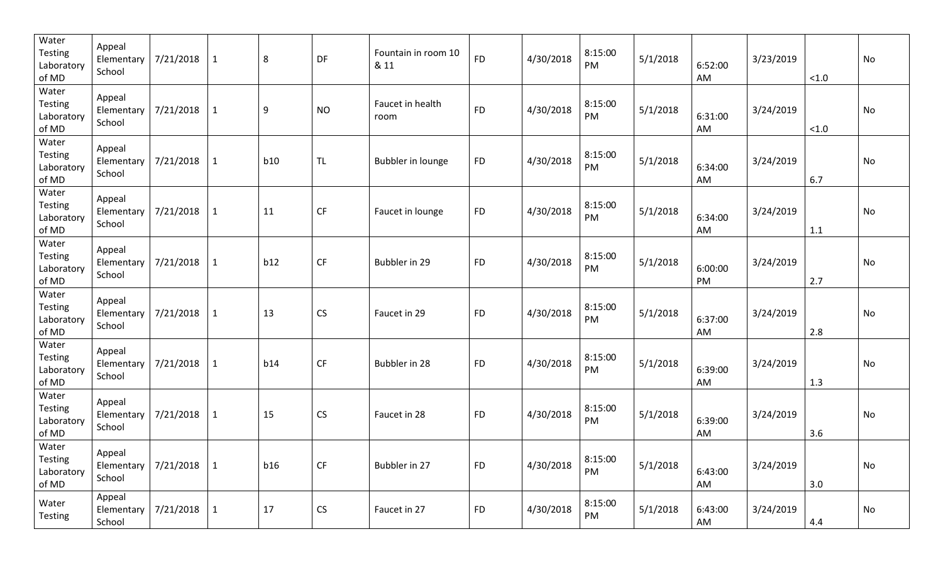| Water<br><b>Testing</b><br>Laboratory<br>of MD | Appeal<br>Elementary<br>School   | 7/21/2018 | $\mathbf{1}$ | 8          | DF        | Fountain in room 10<br>& 11 | <b>FD</b> | 4/30/2018 | 8:15:00<br>PM | 5/1/2018 | 6:52:00<br>AM | 3/23/2019 | $<1.0$ | No |
|------------------------------------------------|----------------------------------|-----------|--------------|------------|-----------|-----------------------------|-----------|-----------|---------------|----------|---------------|-----------|--------|----|
| Water<br><b>Testing</b><br>Laboratory<br>of MD | Appeal<br>Elementary<br>School   | 7/21/2018 | $\mathbf{1}$ | 9          | <b>NO</b> | Faucet in health<br>room    | <b>FD</b> | 4/30/2018 | 8:15:00<br>PM | 5/1/2018 | 6:31:00<br>AM | 3/24/2019 | $<1.0$ | No |
| Water<br><b>Testing</b><br>Laboratory<br>of MD | Appeal<br>Elementary<br>School   | 7/21/2018 | $\mathbf{1}$ | <b>b10</b> | <b>TL</b> | Bubbler in lounge           | <b>FD</b> | 4/30/2018 | 8:15:00<br>PM | 5/1/2018 | 6:34:00<br>AM | 3/24/2019 | 6.7    | No |
| Water<br><b>Testing</b><br>Laboratory<br>of MD | Appeal<br>Elementary<br>School   | 7/21/2018 | $\mathbf{1}$ | 11         | <b>CF</b> | Faucet in lounge            | <b>FD</b> | 4/30/2018 | 8:15:00<br>PM | 5/1/2018 | 6:34:00<br>AM | 3/24/2019 | 1.1    | No |
| Water<br><b>Testing</b><br>Laboratory<br>of MD | Appeal<br>Elementary<br>School   | 7/21/2018 | $\mathbf{1}$ | b12        | <b>CF</b> | Bubbler in 29               | <b>FD</b> | 4/30/2018 | 8:15:00<br>PM | 5/1/2018 | 6:00:00<br>PM | 3/24/2019 | 2.7    | No |
| Water<br><b>Testing</b><br>Laboratory<br>of MD | Appeal<br>Elementary<br>School   | 7/21/2018 | $\mathbf{1}$ | 13         | <b>CS</b> | Faucet in 29                | <b>FD</b> | 4/30/2018 | 8:15:00<br>PM | 5/1/2018 | 6:37:00<br>AM | 3/24/2019 | 2.8    | No |
| Water<br><b>Testing</b><br>Laboratory<br>of MD | Appeal<br>Elementary<br>School   | 7/21/2018 | $\mathbf{1}$ | b14        | <b>CF</b> | Bubbler in 28               | <b>FD</b> | 4/30/2018 | 8:15:00<br>PM | 5/1/2018 | 6:39:00<br>AM | 3/24/2019 | 1.3    | No |
| Water<br><b>Testing</b><br>Laboratory<br>of MD | Appeal<br>Elementary<br>School   | 7/21/2018 | $\mathbf{1}$ | 15         | <b>CS</b> | Faucet in 28                | <b>FD</b> | 4/30/2018 | 8:15:00<br>PM | 5/1/2018 | 6:39:00<br>AM | 3/24/2019 | 3.6    | No |
| Water<br>Testing<br>Laboratory<br>of MD        | Appeal<br>Elementary<br>School   | 7/21/2018 | $\mathbf{1}$ | b16        | CF        | Bubbler in 27               | <b>FD</b> | 4/30/2018 | 8:15:00<br>PM | 5/1/2018 | 6:43:00<br>AM | 3/24/2019 | 3.0    | No |
| Water<br><b>Testing</b>                        | Appeal<br>Elementary  <br>School | 7/21/2018 | $\mathbf{1}$ | 17         | <b>CS</b> | Faucet in 27                | <b>FD</b> | 4/30/2018 | 8:15:00<br>PM | 5/1/2018 | 6:43:00<br>AM | 3/24/2019 | 4.4    | No |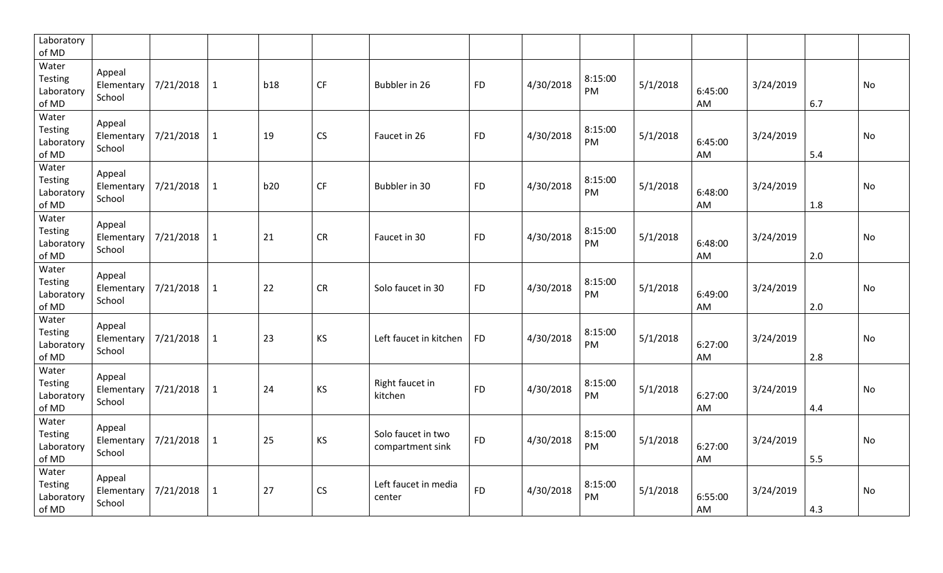| Laboratory<br>of MD                     |                                |           |              |            |           |                                        |           |           |               |          |               |           |                  |
|-----------------------------------------|--------------------------------|-----------|--------------|------------|-----------|----------------------------------------|-----------|-----------|---------------|----------|---------------|-----------|------------------|
| Water<br>Testing<br>Laboratory<br>of MD | Appeal<br>Elementary<br>School | 7/21/2018 | $\mathbf{1}$ | <b>b18</b> | <b>CF</b> | Bubbler in 26                          | <b>FD</b> | 4/30/2018 | 8:15:00<br>PM | 5/1/2018 | 6:45:00<br>AM | 3/24/2019 | <b>No</b><br>6.7 |
| Water<br>Testing<br>Laboratory<br>of MD | Appeal<br>Elementary<br>School | 7/21/2018 | $\mathbf{1}$ | 19         | CS        | Faucet in 26                           | <b>FD</b> | 4/30/2018 | 8:15:00<br>PM | 5/1/2018 | 6:45:00<br>AM | 3/24/2019 | No<br>5.4        |
| Water<br>Testing<br>Laboratory<br>of MD | Appeal<br>Elementary<br>School | 7/21/2018 | $\mathbf{1}$ | b20        | CF        | Bubbler in 30                          | <b>FD</b> | 4/30/2018 | 8:15:00<br>PM | 5/1/2018 | 6:48:00<br>AM | 3/24/2019 | No<br>1.8        |
| Water<br>Testing<br>Laboratory<br>of MD | Appeal<br>Elementary<br>School | 7/21/2018 | $\mathbf{1}$ | 21         | <b>CR</b> | Faucet in 30                           | <b>FD</b> | 4/30/2018 | 8:15:00<br>PM | 5/1/2018 | 6:48:00<br>AM | 3/24/2019 | <b>No</b><br>2.0 |
| Water<br>Testing<br>Laboratory<br>of MD | Appeal<br>Elementary<br>School | 7/21/2018 | $\mathbf{1}$ | 22         | <b>CR</b> | Solo faucet in 30                      | <b>FD</b> | 4/30/2018 | 8:15:00<br>PM | 5/1/2018 | 6:49:00<br>AM | 3/24/2019 | No<br>2.0        |
| Water<br>Testing<br>Laboratory<br>of MD | Appeal<br>Elementary<br>School | 7/21/2018 | $\mathbf{1}$ | 23         | KS        | Left faucet in kitchen                 | <b>FD</b> | 4/30/2018 | 8:15:00<br>PM | 5/1/2018 | 6:27:00<br>AM | 3/24/2019 | No<br>2.8        |
| Water<br>Testing<br>Laboratory<br>of MD | Appeal<br>Elementary<br>School | 7/21/2018 | $\mathbf{1}$ | 24         | KS        | Right faucet in<br>kitchen             | <b>FD</b> | 4/30/2018 | 8:15:00<br>PM | 5/1/2018 | 6:27:00<br>AM | 3/24/2019 | No<br>4.4        |
| Water<br>Testing<br>Laboratory<br>of MD | Appeal<br>Elementary<br>School | 7/21/2018 | $\mathbf{1}$ | 25         | KS        | Solo faucet in two<br>compartment sink | <b>FD</b> | 4/30/2018 | 8:15:00<br>PM | 5/1/2018 | 6:27:00<br>AM | 3/24/2019 | No<br>5.5        |
| Water<br>Testing<br>Laboratory<br>of MD | Appeal<br>Elementary<br>School | 7/21/2018 | $\mathbf{1}$ | 27         | CS        | Left faucet in media<br>center         | <b>FD</b> | 4/30/2018 | 8:15:00<br>PM | 5/1/2018 | 6:55:00<br>AM | 3/24/2019 | No<br>4.3        |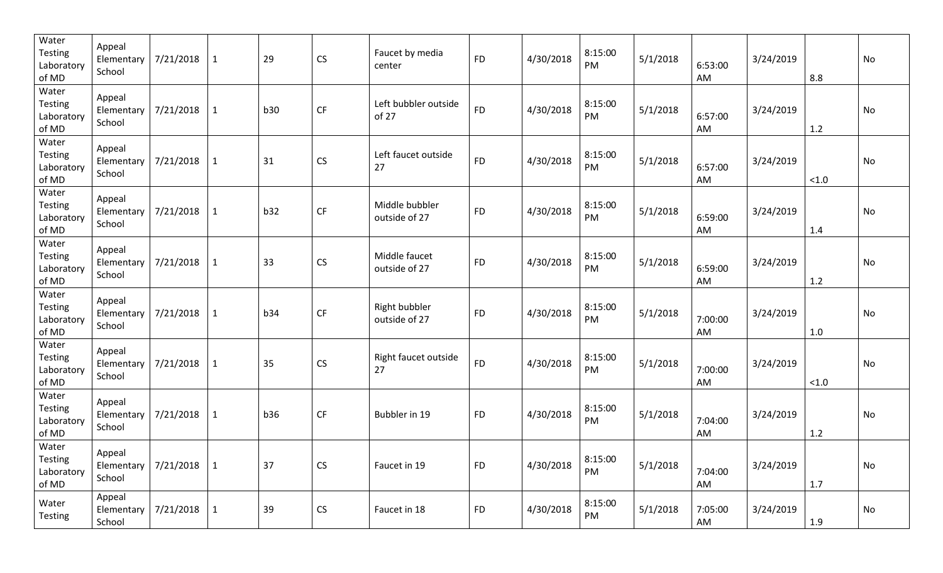| Water<br><b>Testing</b><br>Laboratory<br>of MD | Appeal<br>Elementary<br>School   | 7/21/2018 | $\mathbf{1}$ | 29         | CS                     | Faucet by media<br>center       | <b>FD</b> | 4/30/2018 | 8:15:00<br>PM | 5/1/2018 | 6:53:00<br>AM | 3/24/2019 | 8.8    | No |
|------------------------------------------------|----------------------------------|-----------|--------------|------------|------------------------|---------------------------------|-----------|-----------|---------------|----------|---------------|-----------|--------|----|
| Water<br><b>Testing</b><br>Laboratory<br>of MD | Appeal<br>Elementary<br>School   | 7/21/2018 | $\mathbf{1}$ | <b>b30</b> | $\mathsf{C}\mathsf{F}$ | Left bubbler outside<br>of 27   | <b>FD</b> | 4/30/2018 | 8:15:00<br>PM | 5/1/2018 | 6:57:00<br>AM | 3/24/2019 | 1.2    | No |
| Water<br><b>Testing</b><br>Laboratory<br>of MD | Appeal<br>Elementary<br>School   | 7/21/2018 | $\mathbf{1}$ | 31         | CS                     | Left faucet outside<br>27       | <b>FD</b> | 4/30/2018 | 8:15:00<br>PM | 5/1/2018 | 6:57:00<br>AM | 3/24/2019 | $<1.0$ | No |
| Water<br><b>Testing</b><br>Laboratory<br>of MD | Appeal<br>Elementary<br>School   | 7/21/2018 | $\mathbf{1}$ | b32        | CF                     | Middle bubbler<br>outside of 27 | <b>FD</b> | 4/30/2018 | 8:15:00<br>PM | 5/1/2018 | 6:59:00<br>AM | 3/24/2019 | 1.4    | No |
| Water<br><b>Testing</b><br>Laboratory<br>of MD | Appeal<br>Elementary<br>School   | 7/21/2018 | $\mathbf{1}$ | 33         | CS                     | Middle faucet<br>outside of 27  | <b>FD</b> | 4/30/2018 | 8:15:00<br>PM | 5/1/2018 | 6:59:00<br>AM | 3/24/2019 | 1.2    | No |
| Water<br><b>Testing</b><br>Laboratory<br>of MD | Appeal<br>Elementary<br>School   | 7/21/2018 | $\mathbf{1}$ | b34        | $\mathsf{C}\mathsf{F}$ | Right bubbler<br>outside of 27  | <b>FD</b> | 4/30/2018 | 8:15:00<br>PM | 5/1/2018 | 7:00:00<br>AM | 3/24/2019 | 1.0    | No |
| Water<br><b>Testing</b><br>Laboratory<br>of MD | Appeal<br>Elementary  <br>School | 7/21/2018 | $\mathbf{1}$ | 35         | CS                     | Right faucet outside<br>27      | <b>FD</b> | 4/30/2018 | 8:15:00<br>PM | 5/1/2018 | 7:00:00<br>AM | 3/24/2019 | $<1.0$ | No |
| Water<br><b>Testing</b><br>Laboratory<br>of MD | Appeal<br>Elementary<br>School   | 7/21/2018 | $\mathbf{1}$ | <b>b36</b> | $\mathsf{C}\mathsf{F}$ | Bubbler in 19                   | <b>FD</b> | 4/30/2018 | 8:15:00<br>PM | 5/1/2018 | 7:04:00<br>AM | 3/24/2019 | 1.2    | No |
| Water<br>Testing<br>Laboratory<br>of MD        | Appeal<br>Elementary  <br>School | 7/21/2018 | $\mathbf{1}$ | 37         | CS                     | Faucet in 19                    | <b>FD</b> | 4/30/2018 | 8:15:00<br>PM | 5/1/2018 | 7:04:00<br>AM | 3/24/2019 | 1.7    | No |
| Water<br><b>Testing</b>                        | Appeal<br>Elementary  <br>School | 7/21/2018 | $\mathbf{1}$ | 39         | CS                     | Faucet in 18                    | <b>FD</b> | 4/30/2018 | 8:15:00<br>PM | 5/1/2018 | 7:05:00<br>AM | 3/24/2019 | 1.9    | No |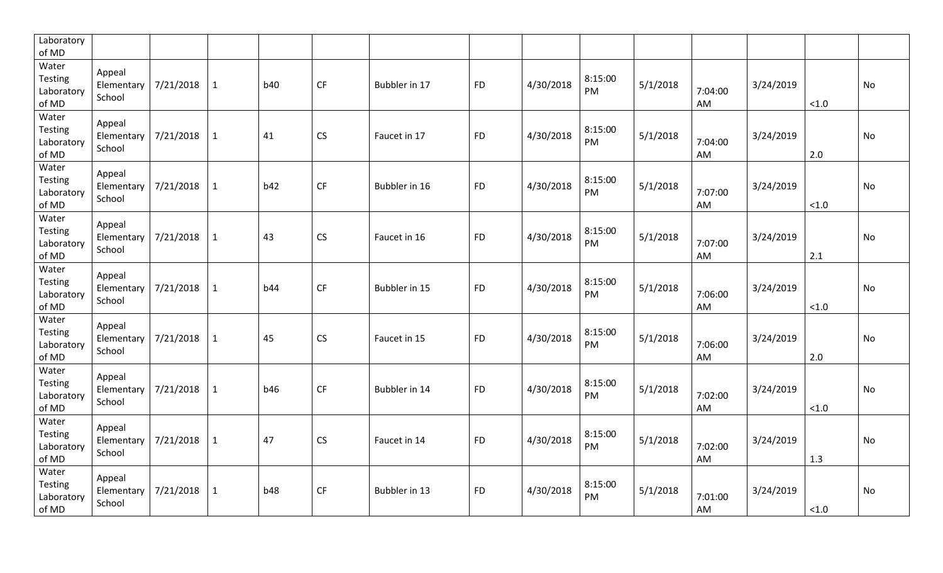| Laboratory<br>of MD                            |                                       |           |              |            |           |               |           |           |               |          |               |           |        |           |
|------------------------------------------------|---------------------------------------|-----------|--------------|------------|-----------|---------------|-----------|-----------|---------------|----------|---------------|-----------|--------|-----------|
| Water<br>Testing<br>Laboratory<br>of MD        | Appeal<br>Elementary<br>School        | 7/21/2018 | $\mathbf{1}$ | <b>b40</b> | <b>CF</b> | Bubbler in 17 | <b>FD</b> | 4/30/2018 | 8:15:00<br>PM | 5/1/2018 | 7:04:00<br>AM | 3/24/2019 | $<1.0$ | <b>No</b> |
| Water<br><b>Testing</b><br>Laboratory<br>of MD | Appeal<br><b>Elementary</b><br>School | 7/21/2018 | $\mathbf{1}$ | 41         | CS        | Faucet in 17  | <b>FD</b> | 4/30/2018 | 8:15:00<br>PM | 5/1/2018 | 7:04:00<br>AM | 3/24/2019 | 2.0    | No        |
| Water<br><b>Testing</b><br>Laboratory<br>of MD | Appeal<br>Elementary<br>School        | 7/21/2018 | $\mathbf{1}$ | b42        | CF        | Bubbler in 16 | <b>FD</b> | 4/30/2018 | 8:15:00<br>PM | 5/1/2018 | 7:07:00<br>AM | 3/24/2019 | $<1.0$ | No        |
| Water<br><b>Testing</b><br>Laboratory<br>of MD | Appeal<br>Elementary<br>School        | 7/21/2018 | $\mathbf{1}$ | 43         | <b>CS</b> | Faucet in 16  | <b>FD</b> | 4/30/2018 | 8:15:00<br>PM | 5/1/2018 | 7:07:00<br>AM | 3/24/2019 | 2.1    | <b>No</b> |
| Water<br>Testing<br>Laboratory<br>of MD        | Appeal<br>Elementary<br>School        | 7/21/2018 | $\mathbf{1}$ | <b>b44</b> | <b>CF</b> | Bubbler in 15 | <b>FD</b> | 4/30/2018 | 8:15:00<br>PM | 5/1/2018 | 7:06:00<br>AM | 3/24/2019 | $<1.0$ | No        |
| Water<br><b>Testing</b><br>Laboratory<br>of MD | Appeal<br>Elementary<br>School        | 7/21/2018 | $\mathbf{1}$ | 45         | CS        | Faucet in 15  | <b>FD</b> | 4/30/2018 | 8:15:00<br>PM | 5/1/2018 | 7:06:00<br>AM | 3/24/2019 | 2.0    | No        |
| Water<br>Testing<br>Laboratory<br>of MD        | Appeal<br>Elementary<br>School        | 7/21/2018 | $\mathbf{1}$ | b46        | CF        | Bubbler in 14 | <b>FD</b> | 4/30/2018 | 8:15:00<br>PM | 5/1/2018 | 7:02:00<br>AM | 3/24/2019 | $<1.0$ | No        |
| Water<br>Testing<br>Laboratory<br>of MD        | Appeal<br>Elementary<br>School        | 7/21/2018 | $\mathbf{1}$ | 47         | CS        | Faucet in 14  | <b>FD</b> | 4/30/2018 | 8:15:00<br>PM | 5/1/2018 | 7:02:00<br>AM | 3/24/2019 | 1.3    | No        |
| Water<br>Testing<br>Laboratory<br>of MD        | Appeal<br>Elementary<br>School        | 7/21/2018 | $\mathbf{1}$ | <b>b48</b> | <b>CF</b> | Bubbler in 13 | <b>FD</b> | 4/30/2018 | 8:15:00<br>PM | 5/1/2018 | 7:01:00<br>AM | 3/24/2019 | $<1.0$ | No        |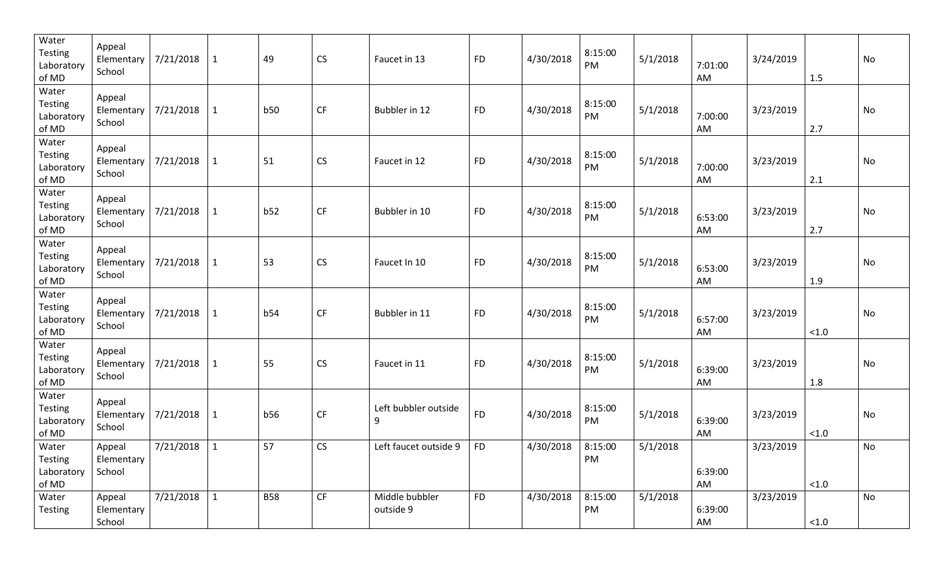| Water<br><b>Testing</b><br>Laboratory<br>of MD | Appeal<br>Elementary<br>School   | 7/21/2018 | $\mathbf{1}$ | 49         | <b>CS</b> | Faucet in 13                | <b>FD</b> | 4/30/2018 | 8:15:00<br>PM | 5/1/2018 | 7:01:00<br>AM | 3/24/2019 | 1.5    | No |
|------------------------------------------------|----------------------------------|-----------|--------------|------------|-----------|-----------------------------|-----------|-----------|---------------|----------|---------------|-----------|--------|----|
| Water<br><b>Testing</b><br>Laboratory<br>of MD | Appeal<br>Elementary<br>School   | 7/21/2018 | $\mathbf{1}$ | <b>b50</b> | <b>CF</b> | Bubbler in 12               | <b>FD</b> | 4/30/2018 | 8:15:00<br>PM | 5/1/2018 | 7:00:00<br>AM | 3/23/2019 | 2.7    | No |
| Water<br><b>Testing</b><br>Laboratory<br>of MD | Appeal<br>Elementary<br>School   | 7/21/2018 | $\mathbf{1}$ | 51         | <b>CS</b> | Faucet in 12                | <b>FD</b> | 4/30/2018 | 8:15:00<br>PM | 5/1/2018 | 7:00:00<br>AM | 3/23/2019 | 2.1    | No |
| Water<br>Testing<br>Laboratory<br>of MD        | Appeal<br>Elementary  <br>School | 7/21/2018 | $\mathbf{1}$ | b52        | CF        | Bubbler in 10               | <b>FD</b> | 4/30/2018 | 8:15:00<br>PM | 5/1/2018 | 6:53:00<br>AM | 3/23/2019 | 2.7    | No |
| Water<br>Testing<br>Laboratory<br>of MD        | Appeal<br>Elementary<br>School   | 7/21/2018 | $\mathbf{1}$ | 53         | <b>CS</b> | Faucet In 10                | <b>FD</b> | 4/30/2018 | 8:15:00<br>PM | 5/1/2018 | 6:53:00<br>AM | 3/23/2019 | 1.9    | No |
| Water<br><b>Testing</b><br>Laboratory<br>of MD | Appeal<br>Elementary  <br>School | 7/21/2018 | $\mathbf{1}$ | b54        | CF        | Bubbler in 11               | <b>FD</b> | 4/30/2018 | 8:15:00<br>PM | 5/1/2018 | 6:57:00<br>AM | 3/23/2019 | $<1.0$ | No |
| Water<br><b>Testing</b><br>Laboratory<br>of MD | Appeal<br>Elementary  <br>School | 7/21/2018 | $\mathbf{1}$ | 55         | CS        | Faucet in 11                | <b>FD</b> | 4/30/2018 | 8:15:00<br>PM | 5/1/2018 | 6:39:00<br>AM | 3/23/2019 | 1.8    | No |
| Water<br><b>Testing</b><br>Laboratory<br>of MD | Appeal<br>Elementary<br>School   | 7/21/2018 | $\mathbf{1}$ | <b>b56</b> | CF        | Left bubbler outside<br>9   | <b>FD</b> | 4/30/2018 | 8:15:00<br>PM | 5/1/2018 | 6:39:00<br>AM | 3/23/2019 | $<1.0$ | No |
| Water<br>Testing<br>Laboratory<br>of MD        | Appeal<br>Elementary<br>School   | 7/21/2018 | $\mathbf{1}$ | 57         | CS        | Left faucet outside 9       | <b>FD</b> | 4/30/2018 | 8:15:00<br>PM | 5/1/2018 | 6:39:00<br>AM | 3/23/2019 | $<1.0$ | No |
| Water<br><b>Testing</b>                        | Appeal<br>Elementary<br>School   | 7/21/2018 | $\mathbf{1}$ | <b>B58</b> | CF        | Middle bubbler<br>outside 9 | <b>FD</b> | 4/30/2018 | 8:15:00<br>PM | 5/1/2018 | 6:39:00<br>AM | 3/23/2019 | $<1.0$ | No |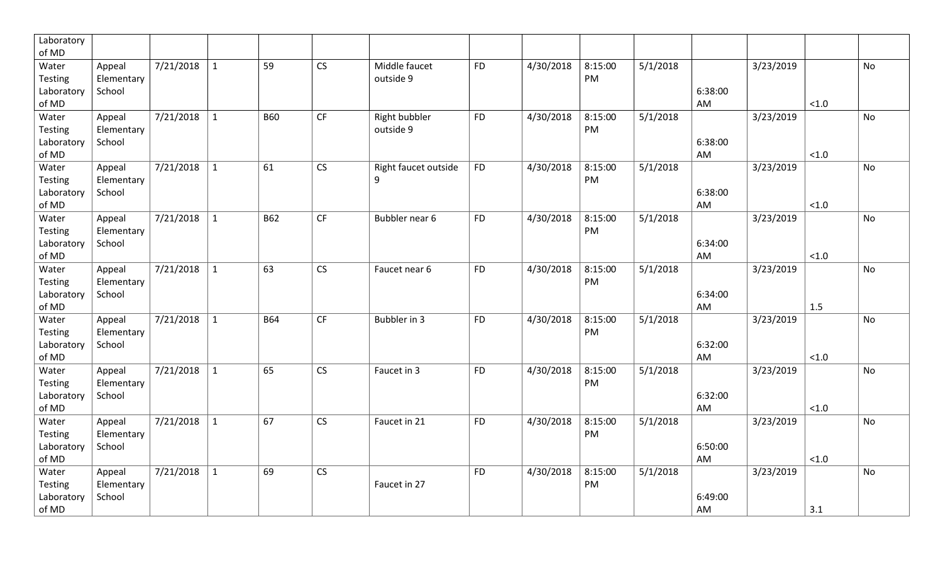| Laboratory          |                      |           |              |            |           |                      |           |           |               |          |         |           |        |           |
|---------------------|----------------------|-----------|--------------|------------|-----------|----------------------|-----------|-----------|---------------|----------|---------|-----------|--------|-----------|
| of MD               |                      |           |              |            |           |                      |           |           |               |          |         |           |        |           |
| Water               | Appeal               | 7/21/2018 | $\mathbf{1}$ | 59         | CS        | Middle faucet        | <b>FD</b> | 4/30/2018 | 8:15:00       | 5/1/2018 |         | 3/23/2019 |        | <b>No</b> |
| Testing             | Elementary           |           |              |            |           | outside 9            |           |           | PM            |          |         |           |        |           |
| Laboratory          | School               |           |              |            |           |                      |           |           |               |          | 6:38:00 |           |        |           |
| of MD               |                      |           |              |            |           |                      |           |           |               |          | AM      |           | $<1.0$ |           |
| Water               | Appeal               | 7/21/2018 | $\vert$ 1    | <b>B60</b> | <b>CF</b> | Right bubbler        | <b>FD</b> | 4/30/2018 | 8:15:00       | 5/1/2018 |         | 3/23/2019 |        | <b>No</b> |
| Testing             | Elementary           |           |              |            |           | outside 9            |           |           | PM            |          |         |           |        |           |
| Laboratory          | School               |           |              |            |           |                      |           |           |               |          | 6:38:00 |           |        |           |
| of MD               |                      |           |              |            |           |                      |           |           |               |          | AM      |           | $<1.0$ |           |
| Water               | Appeal               | 7/21/2018 | $\vert$ 1    | 61         | CS        | Right faucet outside | <b>FD</b> | 4/30/2018 | 8:15:00       | 5/1/2018 |         | 3/23/2019 |        | No        |
| Testing             | Elementary           |           |              |            |           | 9                    |           |           | PM            |          |         |           |        |           |
| Laboratory          | School               |           |              |            |           |                      |           |           |               |          | 6:38:00 |           |        |           |
| of MD               |                      |           |              |            |           |                      |           |           |               |          | AM      |           | $<1.0$ |           |
| Water               | Appeal               | 7/21/2018 | $\mathbf{1}$ | <b>B62</b> | <b>CF</b> | Bubbler near 6       | <b>FD</b> | 4/30/2018 | 8:15:00       | 5/1/2018 |         | 3/23/2019 |        | No        |
| Testing             | Elementary           |           |              |            |           |                      |           |           | PM            |          |         |           |        |           |
| Laboratory          | School               |           |              |            |           |                      |           |           |               |          | 6:34:00 |           |        |           |
| of MD               |                      | 7/21/2018 | $\mathbf{1}$ | 63         | CS        |                      |           |           |               |          | AM      |           | $<1.0$ | No        |
| Water               | Appeal               |           |              |            |           | Faucet near 6        | <b>FD</b> | 4/30/2018 | 8:15:00<br>PM | 5/1/2018 |         | 3/23/2019 |        |           |
| Testing             | Elementary<br>School |           |              |            |           |                      |           |           |               |          | 6:34:00 |           |        |           |
| Laboratory<br>of MD |                      |           |              |            |           |                      |           |           |               |          | AM      |           | 1.5    |           |
| Water               | Appeal               | 7/21/2018 | $\mathbf{1}$ | <b>B64</b> | <b>CF</b> | Bubbler in 3         | <b>FD</b> | 4/30/2018 | 8:15:00       | 5/1/2018 |         | 3/23/2019 |        | No        |
| Testing             | Elementary           |           |              |            |           |                      |           |           | PM            |          |         |           |        |           |
| Laboratory          | School               |           |              |            |           |                      |           |           |               |          | 6:32:00 |           |        |           |
| of MD               |                      |           |              |            |           |                      |           |           |               |          | AM      |           | $<1.0$ |           |
| Water               | Appeal               | 7/21/2018 | $\vert$ 1    | 65         | <b>CS</b> | Faucet in 3          | <b>FD</b> | 4/30/2018 | 8:15:00       | 5/1/2018 |         | 3/23/2019 |        | No        |
| Testing             | Elementary           |           |              |            |           |                      |           |           | PM            |          |         |           |        |           |
| Laboratory          | School               |           |              |            |           |                      |           |           |               |          | 6:32:00 |           |        |           |
| of MD               |                      |           |              |            |           |                      |           |           |               |          | AM      |           | $<1.0$ |           |
| Water               | Appeal               | 7/21/2018 | $\mathbf{1}$ | 67         | CS        | Faucet in 21         | <b>FD</b> | 4/30/2018 | 8:15:00       | 5/1/2018 |         | 3/23/2019 |        | No        |
| Testing             | Elementary           |           |              |            |           |                      |           |           | PM            |          |         |           |        |           |
| Laboratory          | School               |           |              |            |           |                      |           |           |               |          | 6:50:00 |           |        |           |
| of MD               |                      |           |              |            |           |                      |           |           |               |          | AM      |           | $<1.0$ |           |
| Water               | Appeal               | 7/21/2018 | $\mathbf{1}$ | 69         | CS        |                      | <b>FD</b> | 4/30/2018 | 8:15:00       | 5/1/2018 |         | 3/23/2019 |        | No        |
| Testing             | Elementary           |           |              |            |           | Faucet in 27         |           |           | PM            |          |         |           |        |           |
| Laboratory          | School               |           |              |            |           |                      |           |           |               |          | 6:49:00 |           |        |           |
| of MD               |                      |           |              |            |           |                      |           |           |               |          | AM      |           | 3.1    |           |